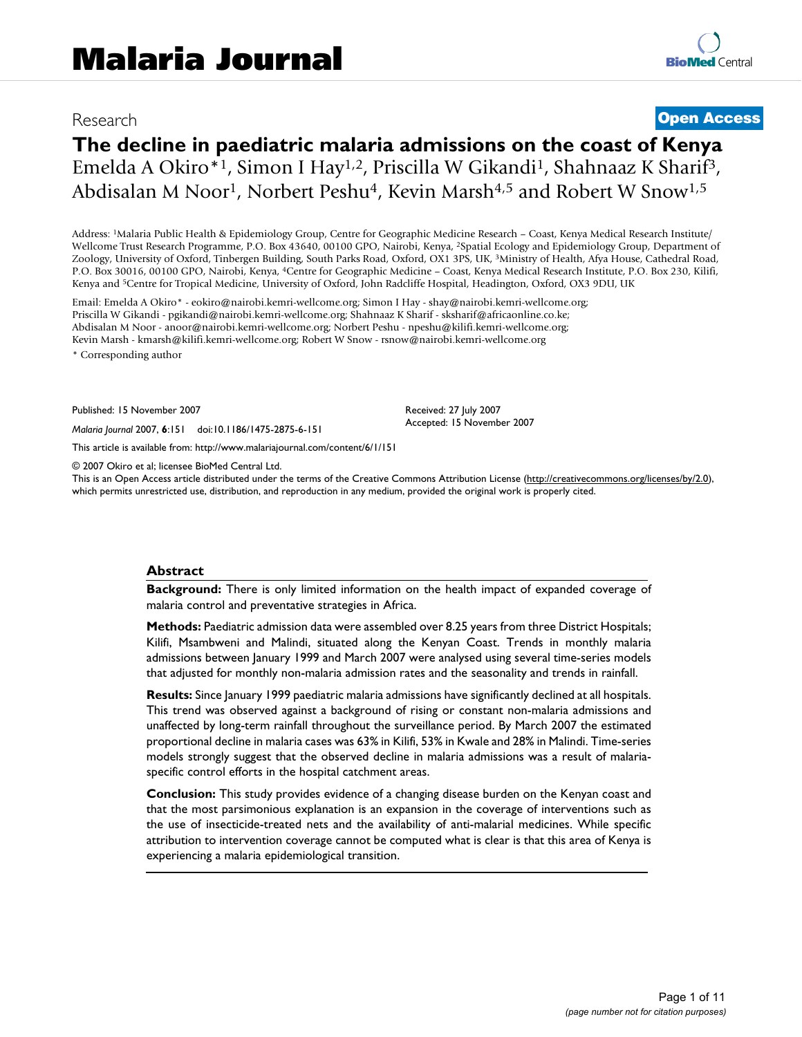# Research **[Open Access](http://www.biomedcentral.com/info/about/charter/)**

# **The decline in paediatric malaria admissions on the coast of Kenya** Emelda A Okiro\*1, Simon I Hay1,2, Priscilla W Gikandi1, Shahnaaz K Sharif3, Abdisalan M Noor<sup>1</sup>, Norbert Peshu<sup>4</sup>, Kevin Marsh<sup>4,5</sup> and Robert W Snow<sup>1,5</sup>

Address: 1Malaria Public Health & Epidemiology Group, Centre for Geographic Medicine Research – Coast, Kenya Medical Research Institute/ Wellcome Trust Research Programme, P.O. Box 43640, 00100 GPO, Nairobi, Kenya, 2Spatial Ecology and Epidemiology Group, Department of Zoology, University of Oxford, Tinbergen Building, South Parks Road, Oxford, OX1 3PS, UK, 3Ministry of Health, Afya House, Cathedral Road, P.O. Box 30016, 00100 GPO, Nairobi, Kenya, 4Centre for Geographic Medicine – Coast, Kenya Medical Research Institute, P.O. Box 230, Kilifi, Kenya and 5Centre for Tropical Medicine, University of Oxford, John Radcliffe Hospital, Headington, Oxford, OX3 9DU, UK

Email: Emelda A Okiro\* - eokiro@nairobi.kemri-wellcome.org; Simon I Hay - shay@nairobi.kemri-wellcome.org; Priscilla W Gikandi - pgikandi@nairobi.kemri-wellcome.org; Shahnaaz K Sharif - sksharif@africaonline.co.ke; Abdisalan M Noor - anoor@nairobi.kemri-wellcome.org; Norbert Peshu - npeshu@kilifi.kemri-wellcome.org; Kevin Marsh - kmarsh@kilifi.kemri-wellcome.org; Robert W Snow - rsnow@nairobi.kemri-wellcome.org

\* Corresponding author

Published: 15 November 2007

*Malaria Journal* 2007, **6**:151 doi:10.1186/1475-2875-6-151

[This article is available from: http://www.malariajournal.com/content/6/1/151](http://www.malariajournal.com/content/6/1/151)

© 2007 Okiro et al; licensee BioMed Central Ltd.

This is an Open Access article distributed under the terms of the Creative Commons Attribution License [\(http://creativecommons.org/licenses/by/2.0\)](http://creativecommons.org/licenses/by/2.0), which permits unrestricted use, distribution, and reproduction in any medium, provided the original work is properly cited.

Received: 27 July 2007 Accepted: 15 November 2007

#### **Abstract**

**Background:** There is only limited information on the health impact of expanded coverage of malaria control and preventative strategies in Africa.

**Methods:** Paediatric admission data were assembled over 8.25 years from three District Hospitals; Kilifi, Msambweni and Malindi, situated along the Kenyan Coast. Trends in monthly malaria admissions between January 1999 and March 2007 were analysed using several time-series models that adjusted for monthly non-malaria admission rates and the seasonality and trends in rainfall.

**Results:** Since January 1999 paediatric malaria admissions have significantly declined at all hospitals. This trend was observed against a background of rising or constant non-malaria admissions and unaffected by long-term rainfall throughout the surveillance period. By March 2007 the estimated proportional decline in malaria cases was 63% in Kilifi, 53% in Kwale and 28% in Malindi. Time-series models strongly suggest that the observed decline in malaria admissions was a result of malariaspecific control efforts in the hospital catchment areas.

**Conclusion:** This study provides evidence of a changing disease burden on the Kenyan coast and that the most parsimonious explanation is an expansion in the coverage of interventions such as the use of insecticide-treated nets and the availability of anti-malarial medicines. While specific attribution to intervention coverage cannot be computed what is clear is that this area of Kenya is experiencing a malaria epidemiological transition.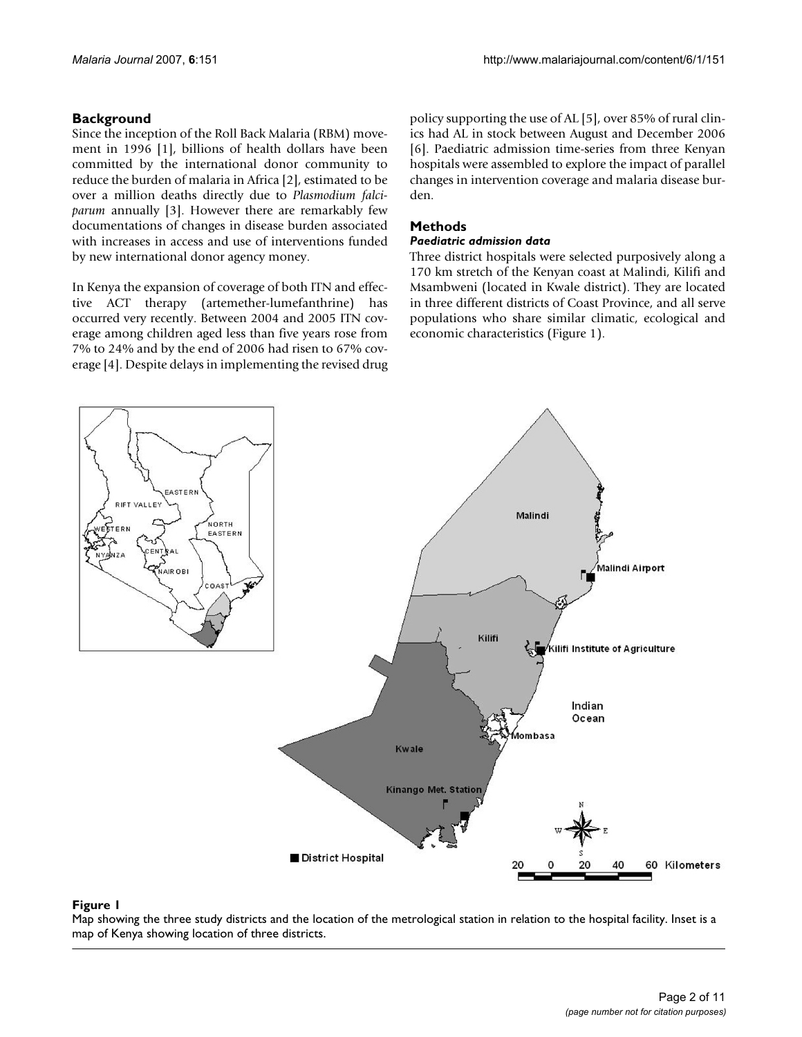### **Background**

Since the inception of the Roll Back Malaria (RBM) movement in 1996 [1], billions of health dollars have been committed by the international donor community to reduce the burden of malaria in Africa [2], estimated to be over a million deaths directly due to *Plasmodium falciparum* annually [3]. However there are remarkably few documentations of changes in disease burden associated with increases in access and use of interventions funded by new international donor agency money.

In Kenya the expansion of coverage of both ITN and effective ACT therapy (artemether-lumefanthrine) has occurred very recently. Between 2004 and 2005 ITN coverage among children aged less than five years rose from 7% to 24% and by the end of 2006 had risen to 67% coverage [4]. Despite delays in implementing the revised drug policy supporting the use of AL [5], over 85% of rural clinics had AL in stock between August and December 2006 [6]. Paediatric admission time-series from three Kenyan hospitals were assembled to explore the impact of parallel changes in intervention coverage and malaria disease burden.

### **Methods**

#### *Paediatric admission data*

Three district hospitals were selected purposively along a 170 km stretch of the Kenyan coast at Malindi, Kilifi and Msambweni (located in Kwale district). They are located in three different districts of Coast Province, and all serve populations who share similar climatic, ecological and economic characteristics (Figure 1).



**Figure 1** Map showing the three study districts and the metrological station in relation in relation in relation in  $\mathcal{A}$ Map showing the three study districts and the location of the metrological station in relation to the hospital facility. Inset is a map of Kenya showing location of three districts.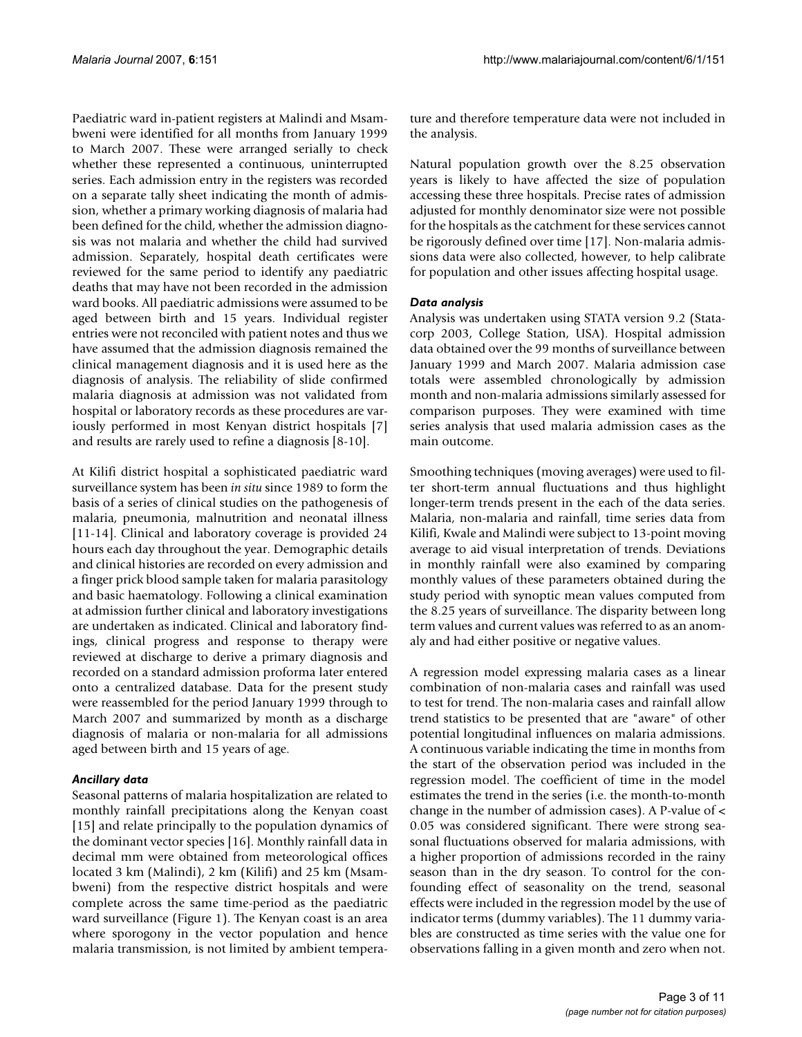Paediatric ward in-patient registers at Malindi and Msambweni were identified for all months from January 1999 to March 2007. These were arranged serially to check whether these represented a continuous, uninterrupted series. Each admission entry in the registers was recorded on a separate tally sheet indicating the month of admission, whether a primary working diagnosis of malaria had been defined for the child, whether the admission diagnosis was not malaria and whether the child had survived admission. Separately, hospital death certificates were reviewed for the same period to identify any paediatric deaths that may have not been recorded in the admission ward books. All paediatric admissions were assumed to be aged between birth and 15 years. Individual register entries were not reconciled with patient notes and thus we have assumed that the admission diagnosis remained the clinical management diagnosis and it is used here as the diagnosis of analysis. The reliability of slide confirmed malaria diagnosis at admission was not validated from hospital or laboratory records as these procedures are variously performed in most Kenyan district hospitals [7] and results are rarely used to refine a diagnosis [8-10].

At Kilifi district hospital a sophisticated paediatric ward surveillance system has been *in situ* since 1989 to form the basis of a series of clinical studies on the pathogenesis of malaria, pneumonia, malnutrition and neonatal illness [11-14]. Clinical and laboratory coverage is provided 24 hours each day throughout the year. Demographic details and clinical histories are recorded on every admission and a finger prick blood sample taken for malaria parasitology and basic haematology. Following a clinical examination at admission further clinical and laboratory investigations are undertaken as indicated. Clinical and laboratory findings, clinical progress and response to therapy were reviewed at discharge to derive a primary diagnosis and recorded on a standard admission proforma later entered onto a centralized database. Data for the present study were reassembled for the period January 1999 through to March 2007 and summarized by month as a discharge diagnosis of malaria or non-malaria for all admissions aged between birth and 15 years of age.

#### *Ancillary data*

Seasonal patterns of malaria hospitalization are related to monthly rainfall precipitations along the Kenyan coast [15] and relate principally to the population dynamics of the dominant vector species [16]. Monthly rainfall data in decimal mm were obtained from meteorological offices located 3 km (Malindi), 2 km (Kilifi) and 25 km (Msambweni) from the respective district hospitals and were complete across the same time-period as the paediatric ward surveillance (Figure 1). The Kenyan coast is an area where sporogony in the vector population and hence malaria transmission, is not limited by ambient temperature and therefore temperature data were not included in the analysis.

Natural population growth over the 8.25 observation years is likely to have affected the size of population accessing these three hospitals. Precise rates of admission adjusted for monthly denominator size were not possible for the hospitals as the catchment for these services cannot be rigorously defined over time [17]. Non-malaria admissions data were also collected, however, to help calibrate for population and other issues affecting hospital usage.

### *Data analysis*

Analysis was undertaken using STATA version 9.2 (Statacorp 2003, College Station, USA). Hospital admission data obtained over the 99 months of surveillance between January 1999 and March 2007. Malaria admission case totals were assembled chronologically by admission month and non-malaria admissions similarly assessed for comparison purposes. They were examined with time series analysis that used malaria admission cases as the main outcome.

Smoothing techniques (moving averages) were used to filter short-term annual fluctuations and thus highlight longer-term trends present in the each of the data series. Malaria, non-malaria and rainfall, time series data from Kilifi, Kwale and Malindi were subject to 13-point moving average to aid visual interpretation of trends. Deviations in monthly rainfall were also examined by comparing monthly values of these parameters obtained during the study period with synoptic mean values computed from the 8.25 years of surveillance. The disparity between long term values and current values was referred to as an anomaly and had either positive or negative values.

A regression model expressing malaria cases as a linear combination of non-malaria cases and rainfall was used to test for trend. The non-malaria cases and rainfall allow trend statistics to be presented that are "aware" of other potential longitudinal influences on malaria admissions. A continuous variable indicating the time in months from the start of the observation period was included in the regression model. The coefficient of time in the model estimates the trend in the series (i.e. the month-to-month change in the number of admission cases). A P-value of < 0.05 was considered significant. There were strong seasonal fluctuations observed for malaria admissions, with a higher proportion of admissions recorded in the rainy season than in the dry season. To control for the confounding effect of seasonality on the trend, seasonal effects were included in the regression model by the use of indicator terms (dummy variables). The 11 dummy variables are constructed as time series with the value one for observations falling in a given month and zero when not.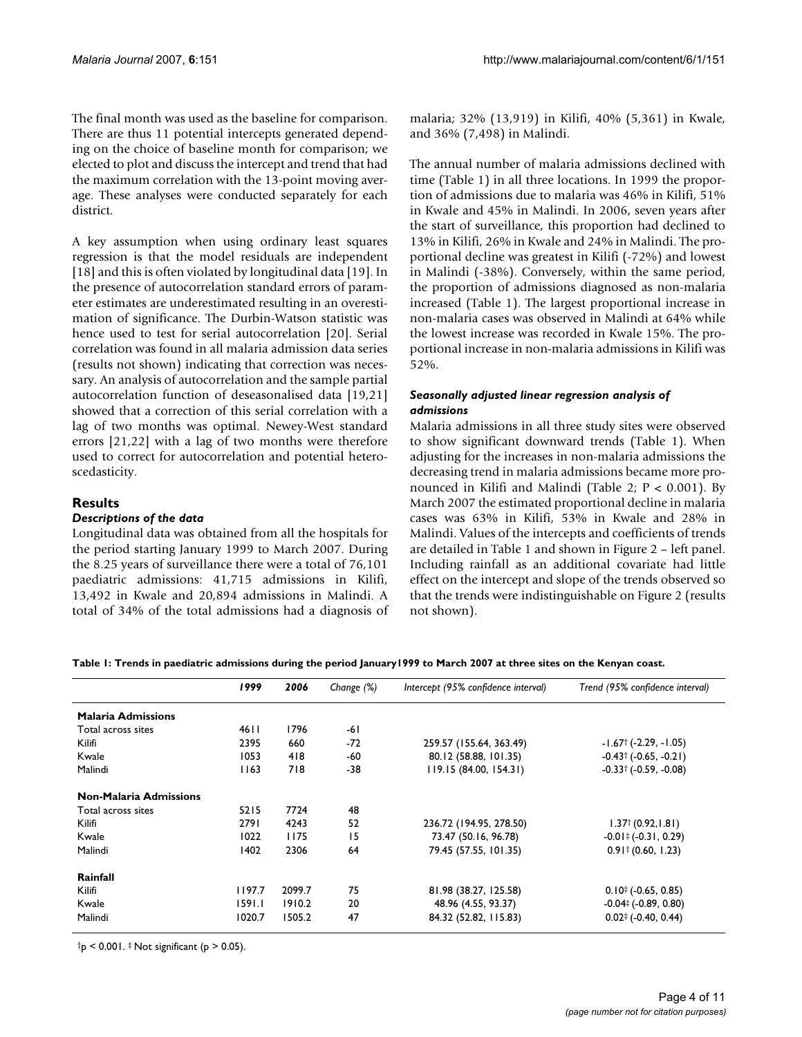The final month was used as the baseline for comparison. There are thus 11 potential intercepts generated depending on the choice of baseline month for comparison; we elected to plot and discuss the intercept and trend that had the maximum correlation with the 13-point moving average. These analyses were conducted separately for each district.

A key assumption when using ordinary least squares regression is that the model residuals are independent [18] and this is often violated by longitudinal data [19]. In the presence of autocorrelation standard errors of parameter estimates are underestimated resulting in an overestimation of significance. The Durbin-Watson statistic was hence used to test for serial autocorrelation [20]. Serial correlation was found in all malaria admission data series (results not shown) indicating that correction was necessary. An analysis of autocorrelation and the sample partial autocorrelation function of deseasonalised data [19,21] showed that a correction of this serial correlation with a lag of two months was optimal. Newey-West standard errors [21,22] with a lag of two months were therefore used to correct for autocorrelation and potential heteroscedasticity.

### **Results**

#### *Descriptions of the data*

Longitudinal data was obtained from all the hospitals for the period starting January 1999 to March 2007. During the 8.25 years of surveillance there were a total of 76,101 paediatric admissions: 41,715 admissions in Kilifi, 13,492 in Kwale and 20,894 admissions in Malindi. A total of 34% of the total admissions had a diagnosis of malaria; 32% (13,919) in Kilifi, 40% (5,361) in Kwale, and 36% (7,498) in Malindi.

The annual number of malaria admissions declined with time (Table 1) in all three locations. In 1999 the proportion of admissions due to malaria was 46% in Kilifi, 51% in Kwale and 45% in Malindi. In 2006, seven years after the start of surveillance, this proportion had declined to 13% in Kilifi, 26% in Kwale and 24% in Malindi. The proportional decline was greatest in Kilifi (-72%) and lowest in Malindi (-38%). Conversely, within the same period, the proportion of admissions diagnosed as non-malaria increased (Table 1). The largest proportional increase in non-malaria cases was observed in Malindi at 64% while the lowest increase was recorded in Kwale 15%. The proportional increase in non-malaria admissions in Kilifi was 52%.

#### *Seasonally adjusted linear regression analysis of admissions*

Malaria admissions in all three study sites were observed to show significant downward trends (Table 1). When adjusting for the increases in non-malaria admissions the decreasing trend in malaria admissions became more pronounced in Kilifi and Malindi (Table 2; P < 0.001). By March 2007 the estimated proportional decline in malaria cases was 63% in Kilifi, 53% in Kwale and 28% in Malindi. Values of the intercepts and coefficients of trends are detailed in Table 1 and shown in Figure 2 – left panel. Including rainfall as an additional covariate had little effect on the intercept and slope of the trends observed so that the trends were indistinguishable on Figure 2 (results not shown).

**Table 1: Trends in paediatric admissions during the period January1999 to March 2007 at three sites on the Kenyan coast.**

|                               | 1999   | 2006   | Change $(\%)$ | Intercept (95% confidence interval) | Trend (95% confidence interval)                  |
|-------------------------------|--------|--------|---------------|-------------------------------------|--------------------------------------------------|
| <b>Malaria Admissions</b>     |        |        |               |                                     |                                                  |
| Total across sites            | 46 I I | 1796   | -61           |                                     |                                                  |
| Kilifi                        | 2395   | 660    | -72           | 259.57 (155.64, 363.49)             | $-1.67$ † (-2.29, -1.05)                         |
| Kwale                         | 1053   | 418    | -60           | 80.12 (58.88, 101.35)               | $-0.43^{\dagger}$ ( $-0.65, -0.21$ )             |
| Malindi                       | 1163   | 718    | -38           | 119.15(84.00, 154.31)               | $-0.33$ † ( $-0.59$ , $-0.08$ )                  |
| <b>Non-Malaria Admissions</b> |        |        |               |                                     |                                                  |
| Total across sites            | 5215   | 7724   | 48            |                                     |                                                  |
| Kilifi                        | 2791   | 4243   | 52            | 236.72 (194.95, 278.50)             | $1.37^{\dagger}$ (0.92, 1.81)                    |
| Kwale                         | 1022   | 1175   | 15            | 73.47 (50.16, 96.78)                | $-0.01^{\ddagger}$ (-0.31, 0.29)                 |
| Malindi                       | 1402   | 2306   | 64            | 79.45 (57.55, 101.35)               | $0.91 \times (0.60, 1.23)$                       |
| Rainfall                      |        |        |               |                                     |                                                  |
| Kilifi                        | 1197.7 | 2099.7 | 75            | 81.98 (38.27, 125.58)               | $0.10^{+}$ (-0.65, 0.85)                         |
| Kwale                         | 1591.1 | 1910.2 | 20            | 48.96 (4.55, 93.37)                 | $-0.04$ <sup>‡</sup> ( $-0.89, 0.80$ )           |
| Malindi                       | 1020.7 | 1505.2 | 47            | 84.32 (52.82, 115.83)               | $0.02$ <sup><math>\pm</math></sup> (-0.40, 0.44) |

 $\text{tp}$  < 0.001.  $\ddagger$  Not significant (p > 0.05).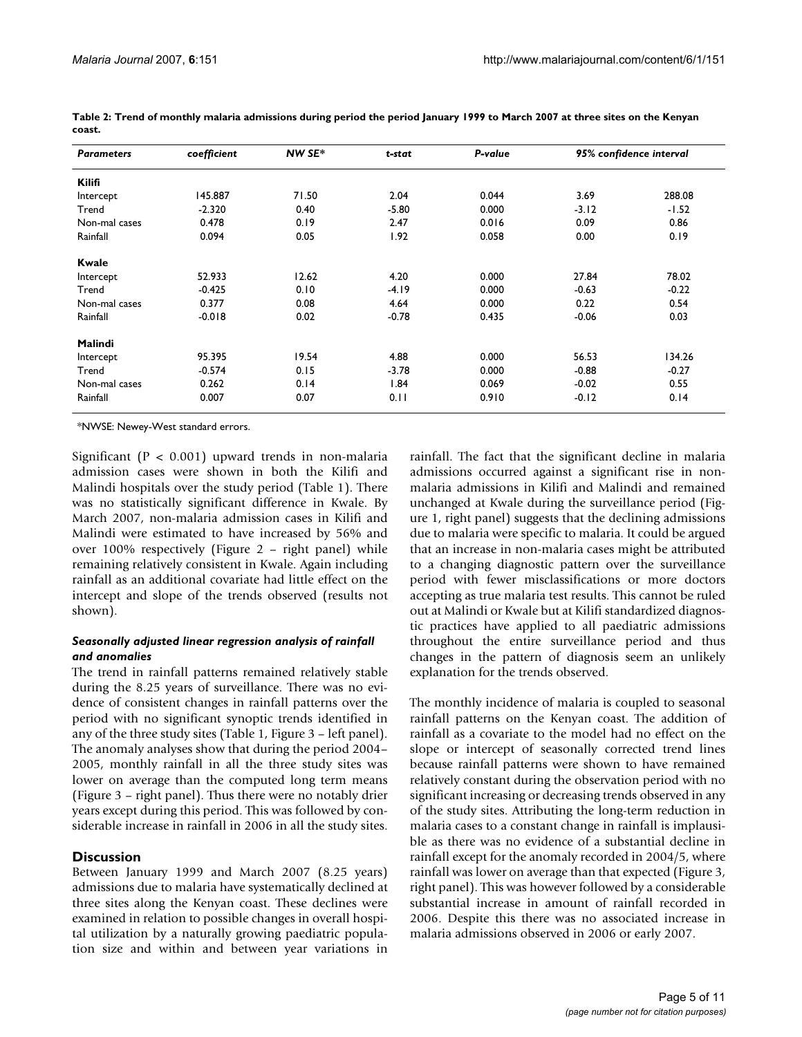| <b>Parameters</b> | coefficient | NW SE* | t-stat  | P-value | 95% confidence interval |         |
|-------------------|-------------|--------|---------|---------|-------------------------|---------|
| <b>Kilifi</b>     |             |        |         |         |                         |         |
| Intercept         | 145.887     | 71.50  | 2.04    | 0.044   | 3.69                    | 288.08  |
| Trend             | $-2.320$    | 0.40   | $-5.80$ | 0.000   | $-3.12$                 | $-1.52$ |
| Non-mal cases     | 0.478       | 0.19   | 2.47    | 0.016   | 0.09                    | 0.86    |
| Rainfall          | 0.094       | 0.05   | 1.92    | 0.058   | 0.00                    | 0.19    |
| <b>Kwale</b>      |             |        |         |         |                         |         |
| Intercept         | 52.933      | 12.62  | 4.20    | 0.000   | 27.84                   | 78.02   |
| Trend             | $-0.425$    | 0.10   | $-4.19$ | 0.000   | $-0.63$                 | $-0.22$ |
| Non-mal cases     | 0.377       | 0.08   | 4.64    | 0.000   | 0.22                    | 0.54    |
| Rainfall          | $-0.018$    | 0.02   | $-0.78$ | 0.435   | $-0.06$                 | 0.03    |
| Malindi           |             |        |         |         |                         |         |
| Intercept         | 95.395      | 19.54  | 4.88    | 0.000   | 56.53                   | 134.26  |
| Trend             | $-0.574$    | 0.15   | $-3.78$ | 0.000   | $-0.88$                 | $-0.27$ |
| Non-mal cases     | 0.262       | 0.14   | 1.84    | 0.069   | $-0.02$                 | 0.55    |
| Rainfall          | 0.007       | 0.07   | 0.11    | 0.910   | $-0.12$                 | 0.14    |

**Table 2: Trend of monthly malaria admissions during period the period January 1999 to March 2007 at three sites on the Kenyan coast.**

\*NWSE: Newey-West standard errors.

Significant ( $P < 0.001$ ) upward trends in non-malaria admission cases were shown in both the Kilifi and Malindi hospitals over the study period (Table 1). There was no statistically significant difference in Kwale. By March 2007, non-malaria admission cases in Kilifi and Malindi were estimated to have increased by 56% and over 100% respectively (Figure 2 – right panel) while remaining relatively consistent in Kwale. Again including rainfall as an additional covariate had little effect on the intercept and slope of the trends observed (results not shown).

#### *Seasonally adjusted linear regression analysis of rainfall and anomalies*

The trend in rainfall patterns remained relatively stable during the 8.25 years of surveillance. There was no evidence of consistent changes in rainfall patterns over the period with no significant synoptic trends identified in any of the three study sites (Table 1, Figure 3 – left panel). The anomaly analyses show that during the period 2004– 2005, monthly rainfall in all the three study sites was lower on average than the computed long term means (Figure 3 – right panel). Thus there were no notably drier years except during this period. This was followed by considerable increase in rainfall in 2006 in all the study sites.

#### **Discussion**

Between January 1999 and March 2007 (8.25 years) admissions due to malaria have systematically declined at three sites along the Kenyan coast. These declines were examined in relation to possible changes in overall hospital utilization by a naturally growing paediatric population size and within and between year variations in rainfall. The fact that the significant decline in malaria admissions occurred against a significant rise in nonmalaria admissions in Kilifi and Malindi and remained unchanged at Kwale during the surveillance period (Figure 1, right panel) suggests that the declining admissions due to malaria were specific to malaria. It could be argued that an increase in non-malaria cases might be attributed to a changing diagnostic pattern over the surveillance period with fewer misclassifications or more doctors accepting as true malaria test results. This cannot be ruled out at Malindi or Kwale but at Kilifi standardized diagnostic practices have applied to all paediatric admissions throughout the entire surveillance period and thus changes in the pattern of diagnosis seem an unlikely explanation for the trends observed.

The monthly incidence of malaria is coupled to seasonal rainfall patterns on the Kenyan coast. The addition of rainfall as a covariate to the model had no effect on the slope or intercept of seasonally corrected trend lines because rainfall patterns were shown to have remained relatively constant during the observation period with no significant increasing or decreasing trends observed in any of the study sites. Attributing the long-term reduction in malaria cases to a constant change in rainfall is implausible as there was no evidence of a substantial decline in rainfall except for the anomaly recorded in 2004/5, where rainfall was lower on average than that expected (Figure 3, right panel). This was however followed by a considerable substantial increase in amount of rainfall recorded in 2006. Despite this there was no associated increase in malaria admissions observed in 2006 or early 2007.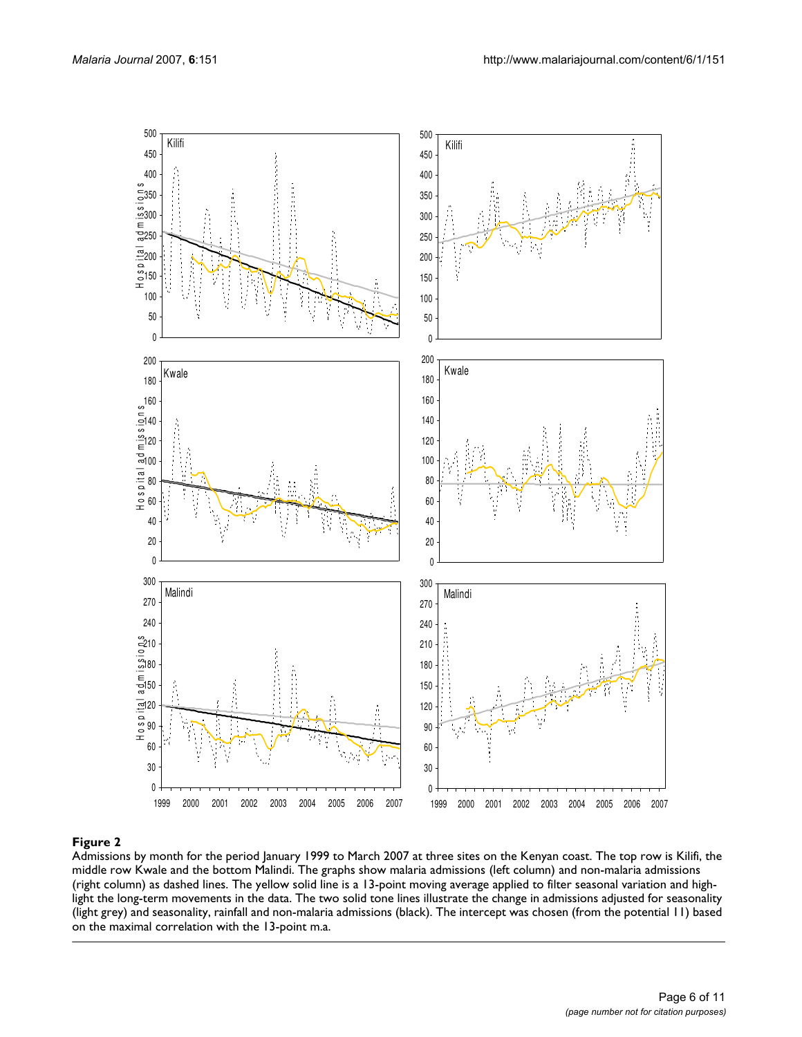

Admissions by month for the period January 1999 to March 2007 at three sites on the Kenyan coast. The top row is Kilifi, the middle row Kwale and the bottom Malindi. The graphs show malaria admissions (left column) and non-malaria admissions (right column) as dashed lines. The yellow solid line is a 13-point moving average applied to filter seasonal variation and highlight the long-term movements in the data. The two solid tone lines illustrate the change in admissions adjusted for seasonality (light grey) and seasonality, rainfall and non-malaria admissions (black). The intercept was chosen (from the potential 11) based on the maximal correlation with the 13-point m.a.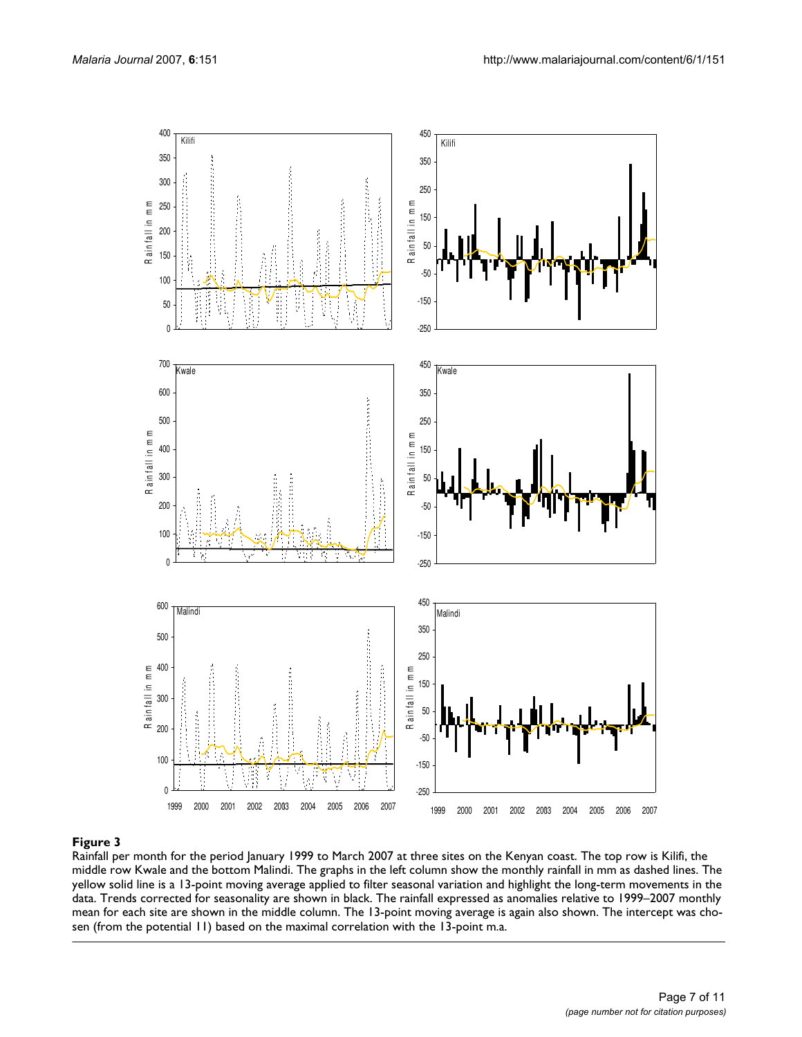

Rainfall per month for the period January 1999 to March 2007 at three sites on the Kenyan coast. The top row is Kilifi, the middle row Kwale and the bottom Malindi. The graphs in the left column show the monthly rainfall in mm as dashed lines. The yellow solid line is a 13-point moving average applied to filter seasonal variation and highlight the long-term movements in the data. Trends corrected for seasonality are shown in black. The rainfall expressed as anomalies relative to 1999–2007 monthly mean for each site are shown in the middle column. The 13-point moving average is again also shown. The intercept was chosen (from the potential 11) based on the maximal correlation with the 13-point m.a.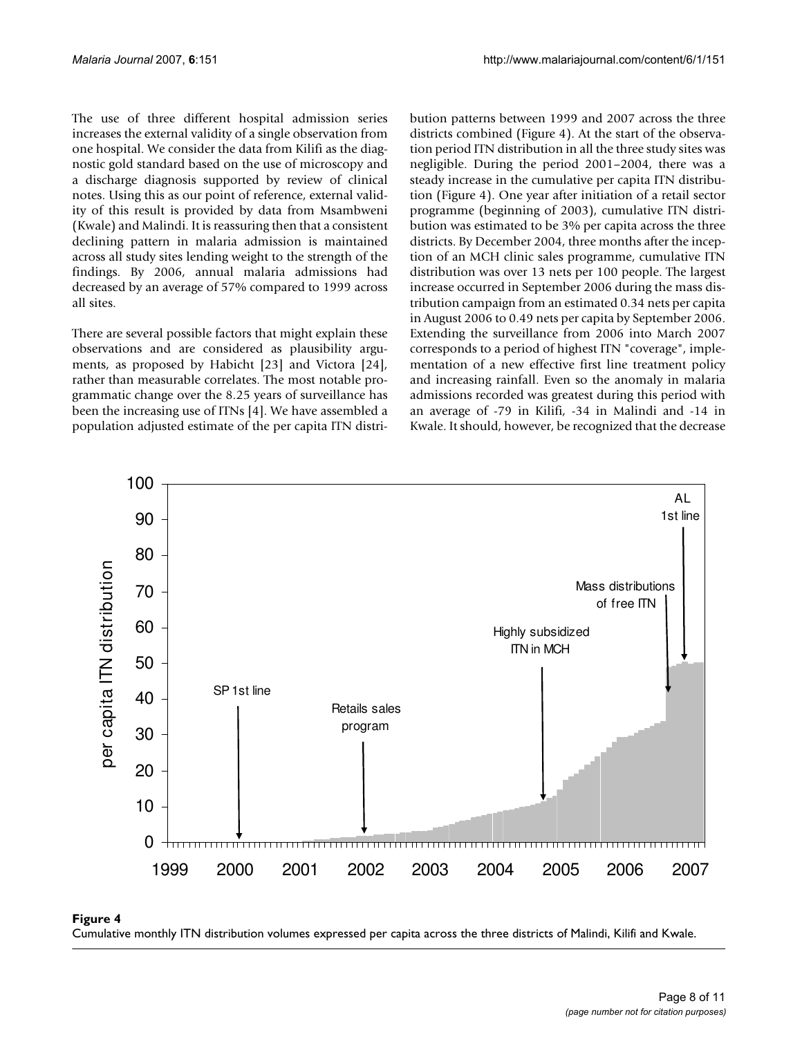The use of three different hospital admission series increases the external validity of a single observation from one hospital. We consider the data from Kilifi as the diagnostic gold standard based on the use of microscopy and a discharge diagnosis supported by review of clinical notes. Using this as our point of reference, external validity of this result is provided by data from Msambweni (Kwale) and Malindi. It is reassuring then that a consistent declining pattern in malaria admission is maintained across all study sites lending weight to the strength of the findings. By 2006, annual malaria admissions had decreased by an average of 57% compared to 1999 across all sites.

There are several possible factors that might explain these observations and are considered as plausibility arguments, as proposed by Habicht [23] and Victora [24], rather than measurable correlates. The most notable programmatic change over the 8.25 years of surveillance has been the increasing use of ITNs [4]. We have assembled a population adjusted estimate of the per capita ITN distribution patterns between 1999 and 2007 across the three districts combined (Figure 4). At the start of the observation period ITN distribution in all the three study sites was negligible. During the period 2001–2004, there was a steady increase in the cumulative per capita ITN distribution (Figure 4). One year after initiation of a retail sector programme (beginning of 2003), cumulative ITN distribution was estimated to be 3% per capita across the three districts. By December 2004, three months after the inception of an MCH clinic sales programme, cumulative ITN distribution was over 13 nets per 100 people. The largest increase occurred in September 2006 during the mass distribution campaign from an estimated 0.34 nets per capita in August 2006 to 0.49 nets per capita by September 2006. Extending the surveillance from 2006 into March 2007 corresponds to a period of highest ITN "coverage", implementation of a new effective first line treatment policy and increasing rainfall. Even so the anomaly in malaria admissions recorded was greatest during this period with an average of -79 in Kilifi, -34 in Malindi and -14 in Kwale. It should, however, be recognized that the decrease



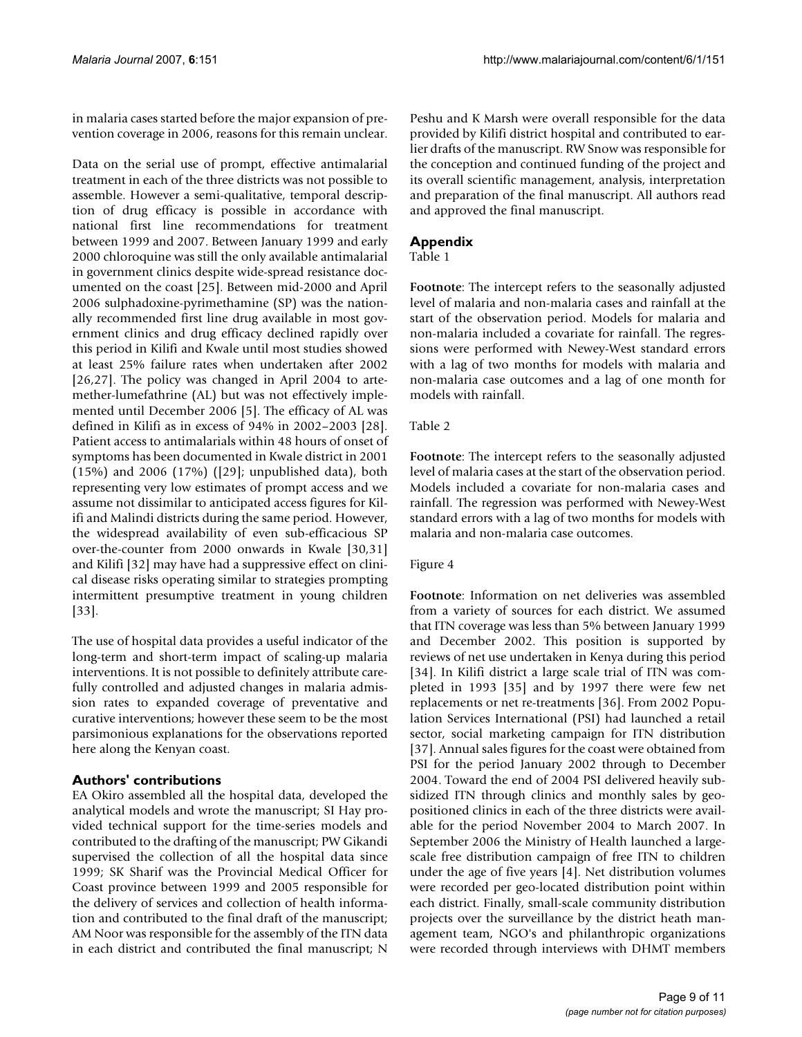in malaria cases started before the major expansion of prevention coverage in 2006, reasons for this remain unclear.

Data on the serial use of prompt, effective antimalarial treatment in each of the three districts was not possible to assemble. However a semi-qualitative, temporal description of drug efficacy is possible in accordance with national first line recommendations for treatment between 1999 and 2007. Between January 1999 and early 2000 chloroquine was still the only available antimalarial in government clinics despite wide-spread resistance documented on the coast [25]. Between mid-2000 and April 2006 sulphadoxine-pyrimethamine (SP) was the nationally recommended first line drug available in most government clinics and drug efficacy declined rapidly over this period in Kilifi and Kwale until most studies showed at least 25% failure rates when undertaken after 2002 [26,27]. The policy was changed in April 2004 to artemether-lumefathrine (AL) but was not effectively implemented until December 2006 [5]. The efficacy of AL was defined in Kilifi as in excess of 94% in 2002–2003 [28]. Patient access to antimalarials within 48 hours of onset of symptoms has been documented in Kwale district in 2001 (15%) and 2006 (17%) ([29]; unpublished data), both representing very low estimates of prompt access and we assume not dissimilar to anticipated access figures for Kilifi and Malindi districts during the same period. However, the widespread availability of even sub-efficacious SP over-the-counter from 2000 onwards in Kwale [30,31] and Kilifi [32] may have had a suppressive effect on clinical disease risks operating similar to strategies prompting intermittent presumptive treatment in young children [33].

The use of hospital data provides a useful indicator of the long-term and short-term impact of scaling-up malaria interventions. It is not possible to definitely attribute carefully controlled and adjusted changes in malaria admission rates to expanded coverage of preventative and curative interventions; however these seem to be the most parsimonious explanations for the observations reported here along the Kenyan coast.

## **Authors' contributions**

EA Okiro assembled all the hospital data, developed the analytical models and wrote the manuscript; SI Hay provided technical support for the time-series models and contributed to the drafting of the manuscript; PW Gikandi supervised the collection of all the hospital data since 1999; SK Sharif was the Provincial Medical Officer for Coast province between 1999 and 2005 responsible for the delivery of services and collection of health information and contributed to the final draft of the manuscript; AM Noor was responsible for the assembly of the ITN data in each district and contributed the final manuscript; N

Peshu and K Marsh were overall responsible for the data provided by Kilifi district hospital and contributed to earlier drafts of the manuscript. RW Snow was responsible for the conception and continued funding of the project and its overall scientific management, analysis, interpretation and preparation of the final manuscript. All authors read and approved the final manuscript.

## **Appendix**

#### Table 1

**Footnote**: The intercept refers to the seasonally adjusted level of malaria and non-malaria cases and rainfall at the start of the observation period. Models for malaria and non-malaria included a covariate for rainfall. The regressions were performed with Newey-West standard errors with a lag of two months for models with malaria and non-malaria case outcomes and a lag of one month for models with rainfall.

### Table 2

**Footnote**: The intercept refers to the seasonally adjusted level of malaria cases at the start of the observation period. Models included a covariate for non-malaria cases and rainfall. The regression was performed with Newey-West standard errors with a lag of two months for models with malaria and non-malaria case outcomes.

#### Figure 4

**Footnote**: Information on net deliveries was assembled from a variety of sources for each district. We assumed that ITN coverage was less than 5% between January 1999 and December 2002. This position is supported by reviews of net use undertaken in Kenya during this period [34]. In Kilifi district a large scale trial of ITN was completed in 1993 [35] and by 1997 there were few net replacements or net re-treatments [36]. From 2002 Population Services International (PSI) had launched a retail sector, social marketing campaign for ITN distribution [37]. Annual sales figures for the coast were obtained from PSI for the period January 2002 through to December 2004. Toward the end of 2004 PSI delivered heavily subsidized ITN through clinics and monthly sales by geopositioned clinics in each of the three districts were available for the period November 2004 to March 2007. In September 2006 the Ministry of Health launched a largescale free distribution campaign of free ITN to children under the age of five years [4]. Net distribution volumes were recorded per geo-located distribution point within each district. Finally, small-scale community distribution projects over the surveillance by the district heath management team, NGO's and philanthropic organizations were recorded through interviews with DHMT members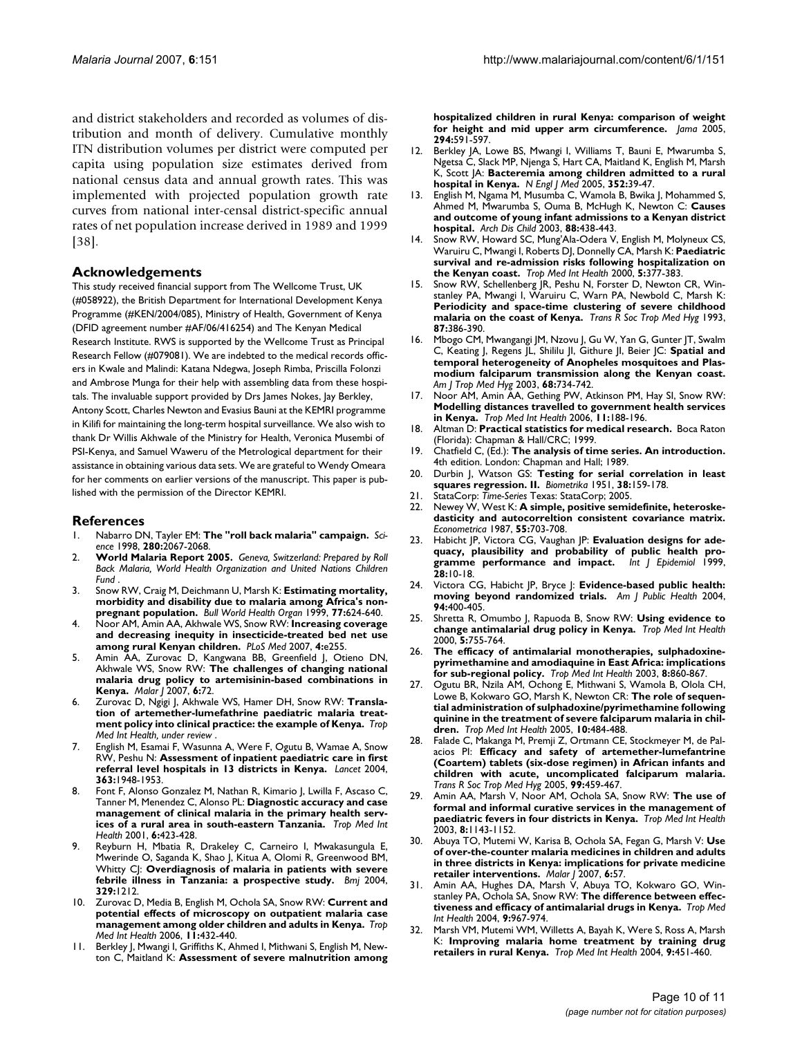and district stakeholders and recorded as volumes of distribution and month of delivery. Cumulative monthly ITN distribution volumes per district were computed per capita using population size estimates derived from national census data and annual growth rates. This was implemented with projected population growth rate curves from national inter-censal district-specific annual rates of net population increase derived in 1989 and 1999 [38].

#### **Acknowledgements**

This study received financial support from The Wellcome Trust, UK (#058922), the British Department for International Development Kenya Programme (#KEN/2004/085), Ministry of Health, Government of Kenya (DFID agreement number #AF/06/416254) and The Kenyan Medical Research Institute. RWS is supported by the Wellcome Trust as Principal Research Fellow (#079081). We are indebted to the medical records officers in Kwale and Malindi: Katana Ndegwa, Joseph Rimba, Priscilla Folonzi and Ambrose Munga for their help with assembling data from these hospitals. The invaluable support provided by Drs James Nokes, Jay Berkley, Antony Scott, Charles Newton and Evasius Bauni at the KEMRI programme in Kilifi for maintaining the long-term hospital surveillance. We also wish to thank Dr Willis Akhwale of the Ministry for Health, Veronica Musembi of PSI-Kenya, and Samuel Waweru of the Metrological department for their assistance in obtaining various data sets. We are grateful to Wendy Omeara for her comments on earlier versions of the manuscript. This paper is published with the permission of the Director KEMRI.

#### **References**

- 1. Nabarro DN, Tayler EM: **[The "roll back malaria" campaign.](http://www.ncbi.nlm.nih.gov/entrez/query.fcgi?cmd=Retrieve&db=PubMed&dopt=Abstract&list_uids=9669961)** *Science* 1998, **280:**2067-2068.
- 2. **World Malaria Report 2005.** *Geneva, Switzerland: Prepared by Roll Back Malaria, World Health Organization and United Nations Children Fund* .
- 3. Snow RW, Craig M, Deichmann U, Marsh K: **[Estimating mortality,](http://www.ncbi.nlm.nih.gov/entrez/query.fcgi?cmd=Retrieve&db=PubMed&dopt=Abstract&list_uids=10516785) [morbidity and disability due to malaria among Africa's non](http://www.ncbi.nlm.nih.gov/entrez/query.fcgi?cmd=Retrieve&db=PubMed&dopt=Abstract&list_uids=10516785)[pregnant population.](http://www.ncbi.nlm.nih.gov/entrez/query.fcgi?cmd=Retrieve&db=PubMed&dopt=Abstract&list_uids=10516785)** *Bull World Health Organ* 1999, **77:**624-640.
- 4. Noor AM, Amin AA, Akhwale WS, Snow RW: **[Increasing coverage](http://www.ncbi.nlm.nih.gov/entrez/query.fcgi?cmd=Retrieve&db=PubMed&dopt=Abstract&list_uids=17713981) [and decreasing inequity in insecticide-treated bed net use](http://www.ncbi.nlm.nih.gov/entrez/query.fcgi?cmd=Retrieve&db=PubMed&dopt=Abstract&list_uids=17713981) [among rural Kenyan children.](http://www.ncbi.nlm.nih.gov/entrez/query.fcgi?cmd=Retrieve&db=PubMed&dopt=Abstract&list_uids=17713981)** *PLoS Med* 2007, **4:**e255.
- 5. Amin AA, Zurovac D, Kangwana BB, Greenfield J, Otieno DN, Akhwale WS, Snow RW: **[The challenges of changing national](http://www.ncbi.nlm.nih.gov/entrez/query.fcgi?cmd=Retrieve&db=PubMed&dopt=Abstract&list_uids=17535417) [malaria drug policy to artemisinin-based combinations in](http://www.ncbi.nlm.nih.gov/entrez/query.fcgi?cmd=Retrieve&db=PubMed&dopt=Abstract&list_uids=17535417) [Kenya.](http://www.ncbi.nlm.nih.gov/entrez/query.fcgi?cmd=Retrieve&db=PubMed&dopt=Abstract&list_uids=17535417)** *Malar J* 2007, **6:**72.
- 6. Zurovac D, Ngigi J, Akhwale WS, Hamer DH, Snow RW: **Translation of artemether-lumefathrine paediatric malaria treatment policy into clinical practice: the example of Kenya.** *Trop Med Int Health, under review* .
- 7. English M, Esamai F, Wasunna A, Were F, Ogutu B, Wamae A, Snow RW, Peshu N: **[Assessment of inpatient paediatric care in first](http://www.ncbi.nlm.nih.gov/entrez/query.fcgi?cmd=Retrieve&db=PubMed&dopt=Abstract&list_uids=15194254) [referral level hospitals in 13 districts in Kenya.](http://www.ncbi.nlm.nih.gov/entrez/query.fcgi?cmd=Retrieve&db=PubMed&dopt=Abstract&list_uids=15194254)** *Lancet* 2004, **363:**1948-1953.
- 8. Font F, Alonso Gonzalez M, Nathan R, Kimario J, Lwilla F, Ascaso C, Tanner M, Menendez C, Alonso PL: **[Diagnostic accuracy and case](http://www.ncbi.nlm.nih.gov/entrez/query.fcgi?cmd=Retrieve&db=PubMed&dopt=Abstract&list_uids=11422955) [management of clinical malaria in the primary health serv](http://www.ncbi.nlm.nih.gov/entrez/query.fcgi?cmd=Retrieve&db=PubMed&dopt=Abstract&list_uids=11422955)[ices of a rural area in south-eastern Tanzania.](http://www.ncbi.nlm.nih.gov/entrez/query.fcgi?cmd=Retrieve&db=PubMed&dopt=Abstract&list_uids=11422955)** *Trop Med Int Health* 2001, **6:**423-428.
- 9. Reyburn H, Mbatia R, Drakeley C, Carneiro I, Mwakasungula E, Mwerinde O, Saganda K, Shao J, Kitua A, Olomi R, Greenwood BM, Whitty CJ: **[Overdiagnosis of malaria in patients with severe](http://www.ncbi.nlm.nih.gov/entrez/query.fcgi?cmd=Retrieve&db=PubMed&dopt=Abstract&list_uids=15542534) [febrile illness in Tanzania: a prospective study.](http://www.ncbi.nlm.nih.gov/entrez/query.fcgi?cmd=Retrieve&db=PubMed&dopt=Abstract&list_uids=15542534)** *Bmj* 2004, **329:**1212.
- 10. Zurovac D, Media B, English M, Ochola SA, Snow RW: **[Current and](http://www.ncbi.nlm.nih.gov/entrez/query.fcgi?cmd=Retrieve&db=PubMed&dopt=Abstract&list_uids=16553926) [potential effects of microscopy on outpatient malaria case](http://www.ncbi.nlm.nih.gov/entrez/query.fcgi?cmd=Retrieve&db=PubMed&dopt=Abstract&list_uids=16553926) [management among older children and adults in Kenya.](http://www.ncbi.nlm.nih.gov/entrez/query.fcgi?cmd=Retrieve&db=PubMed&dopt=Abstract&list_uids=16553926)** *Trop Med Int Health* 2006, **11:**432-440.
- 11. Berkley J, Mwangi I, Griffiths K, Ahmed I, Mithwani S, English M, Newton C, Maitland K: **[Assessment of severe malnutrition among](http://www.ncbi.nlm.nih.gov/entrez/query.fcgi?cmd=Retrieve&db=PubMed&dopt=Abstract&list_uids=16077053)**

**[hospitalized children in rural Kenya: comparison of weight](http://www.ncbi.nlm.nih.gov/entrez/query.fcgi?cmd=Retrieve&db=PubMed&dopt=Abstract&list_uids=16077053) [for height and mid upper arm circumference.](http://www.ncbi.nlm.nih.gov/entrez/query.fcgi?cmd=Retrieve&db=PubMed&dopt=Abstract&list_uids=16077053)** *Jama* 2005, **294:**591-597.

- 12. Berkley JA, Lowe BS, Mwangi I, Williams T, Bauni E, Mwarumba S, Ngetsa C, Slack MP, Njenga S, Hart CA, Maitland K, English M, Marsh K, Scott JA: **[Bacteremia among children admitted to a rural](http://www.ncbi.nlm.nih.gov/entrez/query.fcgi?cmd=Retrieve&db=PubMed&dopt=Abstract&list_uids=15635111) [hospital in Kenya.](http://www.ncbi.nlm.nih.gov/entrez/query.fcgi?cmd=Retrieve&db=PubMed&dopt=Abstract&list_uids=15635111)** *N Engl J Med* 2005, **352:**39-47.
- 13. English M, Ngama M, Musumba C, Wamola B, Bwika J, Mohammed S, Ahmed M, Mwarumba S, Ouma B, McHugh K, Newton C: **[Causes](http://www.ncbi.nlm.nih.gov/entrez/query.fcgi?cmd=Retrieve&db=PubMed&dopt=Abstract&list_uids=12716721) [and outcome of young infant admissions to a Kenyan district](http://www.ncbi.nlm.nih.gov/entrez/query.fcgi?cmd=Retrieve&db=PubMed&dopt=Abstract&list_uids=12716721) [hospital.](http://www.ncbi.nlm.nih.gov/entrez/query.fcgi?cmd=Retrieve&db=PubMed&dopt=Abstract&list_uids=12716721)** *Arch Dis Child* 2003, **88:**438-443.
- Snow RW, Howard SC, Mung'Ala-Odera V, English M, Molyneux CS, Waruiru C, Mwangi I, Roberts DJ, Donnelly CA, Marsh K: **[Paediatric](http://www.ncbi.nlm.nih.gov/entrez/query.fcgi?cmd=Retrieve&db=PubMed&dopt=Abstract&list_uids=10886803) [survival and re-admission risks following hospitalization on](http://www.ncbi.nlm.nih.gov/entrez/query.fcgi?cmd=Retrieve&db=PubMed&dopt=Abstract&list_uids=10886803) [the Kenyan coast.](http://www.ncbi.nlm.nih.gov/entrez/query.fcgi?cmd=Retrieve&db=PubMed&dopt=Abstract&list_uids=10886803)** *Trop Med Int Health* 2000, **5:**377-383.
- 15. Snow RW, Schellenberg JR, Peshu N, Forster D, Newton CR, Winstanley PA, Mwangi I, Waruiru C, Warn PA, Newbold C, Marsh K: **[Periodicity and space-time clustering of severe childhood](http://www.ncbi.nlm.nih.gov/entrez/query.fcgi?cmd=Retrieve&db=PubMed&dopt=Abstract&list_uids=8249058) [malaria on the coast of Kenya.](http://www.ncbi.nlm.nih.gov/entrez/query.fcgi?cmd=Retrieve&db=PubMed&dopt=Abstract&list_uids=8249058)** *Trans R Soc Trop Med Hyg* 1993, **87:**386-390.
- 16. Mbogo CM, Mwangangi JM, Nzovu J, Gu W, Yan G, Gunter JT, Swalm C, Keating J, Regens JL, Shililu JI, Githure JI, Beier JC: **[Spatial and](http://www.ncbi.nlm.nih.gov/entrez/query.fcgi?cmd=Retrieve&db=PubMed&dopt=Abstract&list_uids=12887036) temporal heterogeneity of Anopheles mosquitoes and Plas[modium falciparum transmission along the Kenyan coast.](http://www.ncbi.nlm.nih.gov/entrez/query.fcgi?cmd=Retrieve&db=PubMed&dopt=Abstract&list_uids=12887036)** *Am J Trop Med Hyg* 2003, **68:**734-742.
- 17. Noor AM, Amin AA, Gething PW, Atkinson PM, Hay SI, Snow RW: **[Modelling distances travelled to government health services](http://www.ncbi.nlm.nih.gov/entrez/query.fcgi?cmd=Retrieve&db=PubMed&dopt=Abstract&list_uids=16451343) [in Kenya.](http://www.ncbi.nlm.nih.gov/entrez/query.fcgi?cmd=Retrieve&db=PubMed&dopt=Abstract&list_uids=16451343)** *Trop Med Int Health* 2006, **11:**188-196.
- 18. Altman D: **Practical statistics for medical research.** Boca Raton (Florida): Chapman & Hall/CRC; 1999.
- 19. Chatfield C, (Ed.): **The analysis of time series. An introduction.** 4th edition. London: Chapman and Hall; 1989.
- 20. Durbin J, Watson GS: **[Testing for serial correlation in least](http://www.ncbi.nlm.nih.gov/entrez/query.fcgi?cmd=Retrieve&db=PubMed&dopt=Abstract&list_uids=14848121) [squares regression. II.](http://www.ncbi.nlm.nih.gov/entrez/query.fcgi?cmd=Retrieve&db=PubMed&dopt=Abstract&list_uids=14848121)** *Biometrika* 1951, **38:**159-178.
- 21. StataCorp: *Time-Series* Texas: StataCorp; 2005.
- 22. Newey W, West K: **A simple, positive semidefinite, heteroskedasticity and autocorreltion consistent covariance matrix.** *Econometrica* 1987, **55:**703-708.
- 23. Habicht JP, Victora CG, Vaughan JP: **[Evaluation designs for ade](http://www.ncbi.nlm.nih.gov/entrez/query.fcgi?cmd=Retrieve&db=PubMed&dopt=Abstract&list_uids=10195658)[quacy, plausibility and probability of public health pro](http://www.ncbi.nlm.nih.gov/entrez/query.fcgi?cmd=Retrieve&db=PubMed&dopt=Abstract&list_uids=10195658)[gramme performance and impact.](http://www.ncbi.nlm.nih.gov/entrez/query.fcgi?cmd=Retrieve&db=PubMed&dopt=Abstract&list_uids=10195658)** *Int J Epidemiol* 1999, **28:**10-18.
- 24. Victora CG, Habicht JP, Bryce J: **[Evidence-based public health:](http://www.ncbi.nlm.nih.gov/entrez/query.fcgi?cmd=Retrieve&db=PubMed&dopt=Abstract&list_uids=14998803) [moving beyond randomized trials.](http://www.ncbi.nlm.nih.gov/entrez/query.fcgi?cmd=Retrieve&db=PubMed&dopt=Abstract&list_uids=14998803)** *Am J Public Health* 2004, **94:**400-405.
- 25. Shretta R, Omumbo J, Rapuoda B, Snow RW: **[Using evidence to](http://www.ncbi.nlm.nih.gov/entrez/query.fcgi?cmd=Retrieve&db=PubMed&dopt=Abstract&list_uids=11123822) [change antimalarial drug policy in Kenya.](http://www.ncbi.nlm.nih.gov/entrez/query.fcgi?cmd=Retrieve&db=PubMed&dopt=Abstract&list_uids=11123822)** *Trop Med Int Health* 2000, **5:**755-764.
- 26. **[The efficacy of antimalarial monotherapies, sulphadoxine](http://www.ncbi.nlm.nih.gov/entrez/query.fcgi?cmd=Retrieve&db=PubMed&dopt=Abstract&list_uids=14516296)[pyrimethamine and amodiaquine in East Africa: implications](http://www.ncbi.nlm.nih.gov/entrez/query.fcgi?cmd=Retrieve&db=PubMed&dopt=Abstract&list_uids=14516296) [for sub-regional policy.](http://www.ncbi.nlm.nih.gov/entrez/query.fcgi?cmd=Retrieve&db=PubMed&dopt=Abstract&list_uids=14516296)** *Trop Med Int Health* 2003, **8:**860-867.
- 27. Ogutu BR, Nzila AM, Ochong E, Mithwani S, Wamola B, Olola CH, Lowe B, Kokwaro GO, Marsh K, Newton CR: **[The role of sequen](http://www.ncbi.nlm.nih.gov/entrez/query.fcgi?cmd=Retrieve&db=PubMed&dopt=Abstract&list_uids=15860096)[tial administration of sulphadoxine/pyrimethamine following](http://www.ncbi.nlm.nih.gov/entrez/query.fcgi?cmd=Retrieve&db=PubMed&dopt=Abstract&list_uids=15860096) quinine in the treatment of severe falciparum malaria in chil[dren.](http://www.ncbi.nlm.nih.gov/entrez/query.fcgi?cmd=Retrieve&db=PubMed&dopt=Abstract&list_uids=15860096)** *Trop Med Int Health* 2005, **10:**484-488.
- 28. Falade C, Makanga M, Premji Z, Ortmann CE, Stockmeyer M, de Palacios PI: **[Efficacy and safety of artemether-lumefantrine](http://www.ncbi.nlm.nih.gov/entrez/query.fcgi?cmd=Retrieve&db=PubMed&dopt=Abstract&list_uids=15837358) (Coartem) tablets (six-dose regimen) in African infants and [children with acute, uncomplicated falciparum malaria.](http://www.ncbi.nlm.nih.gov/entrez/query.fcgi?cmd=Retrieve&db=PubMed&dopt=Abstract&list_uids=15837358)** *Trans R Soc Trop Med Hyg* 2005, **99:**459-467.
- 29. Amin AA, Marsh V, Noor AM, Ochola SA, Snow RW: **[The use of](http://www.ncbi.nlm.nih.gov/entrez/query.fcgi?cmd=Retrieve&db=PubMed&dopt=Abstract&list_uids=14641851) [formal and informal curative services in the management of](http://www.ncbi.nlm.nih.gov/entrez/query.fcgi?cmd=Retrieve&db=PubMed&dopt=Abstract&list_uids=14641851) [paediatric fevers in four districts in Kenya.](http://www.ncbi.nlm.nih.gov/entrez/query.fcgi?cmd=Retrieve&db=PubMed&dopt=Abstract&list_uids=14641851)** *Trop Med Int Health* 2003, **8:**1143-1152.
- 30. Abuya TO, Mutemi W, Karisa B, Ochola SA, Fegan G, Marsh V: **[Use](http://www.ncbi.nlm.nih.gov/entrez/query.fcgi?cmd=Retrieve&db=PubMed&dopt=Abstract&list_uids=17493270) [of over-the-counter malaria medicines in children and adults](http://www.ncbi.nlm.nih.gov/entrez/query.fcgi?cmd=Retrieve&db=PubMed&dopt=Abstract&list_uids=17493270) in three districts in Kenya: implications for private medicine [retailer interventions.](http://www.ncbi.nlm.nih.gov/entrez/query.fcgi?cmd=Retrieve&db=PubMed&dopt=Abstract&list_uids=17493270)** *Malar J* 2007, **6:**57.
- 31. Amin AA, Hughes DA, Marsh V, Abuya TO, Kokwaro GO, Winstanley PA, Ochola SA, Snow RW: **[The difference between effec](http://www.ncbi.nlm.nih.gov/entrez/query.fcgi?cmd=Retrieve&db=PubMed&dopt=Abstract&list_uids=15361109)[tiveness and efficacy of antimalarial drugs in Kenya.](http://www.ncbi.nlm.nih.gov/entrez/query.fcgi?cmd=Retrieve&db=PubMed&dopt=Abstract&list_uids=15361109)** *Trop Med Int Health* 2004, **9:**967-974.
- Marsh VM, Mutemi WM, Willetts A, Bayah K, Were S, Ross A, Marsh K: **[Improving malaria home treatment by training drug](http://www.ncbi.nlm.nih.gov/entrez/query.fcgi?cmd=Retrieve&db=PubMed&dopt=Abstract&list_uids=15078263) [retailers in rural Kenya.](http://www.ncbi.nlm.nih.gov/entrez/query.fcgi?cmd=Retrieve&db=PubMed&dopt=Abstract&list_uids=15078263)** *Trop Med Int Health* 2004, **9:**451-460.